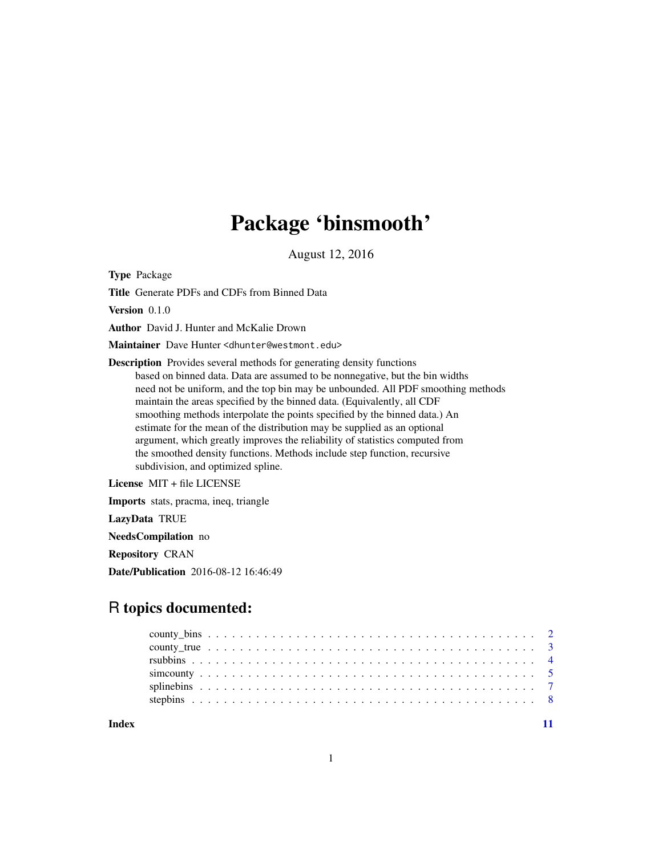# Package 'binsmooth'

August 12, 2016

<span id="page-0-0"></span>Type Package

Title Generate PDFs and CDFs from Binned Data

Version 0.1.0

Author David J. Hunter and McKalie Drown

Maintainer Dave Hunter <dhunter@westmont.edu>

Description Provides several methods for generating density functions based on binned data. Data are assumed to be nonnegative, but the bin widths need not be uniform, and the top bin may be unbounded. All PDF smoothing methods maintain the areas specified by the binned data. (Equivalently, all CDF smoothing methods interpolate the points specified by the binned data.) An estimate for the mean of the distribution may be supplied as an optional argument, which greatly improves the reliability of statistics computed from the smoothed density functions. Methods include step function, recursive subdivision, and optimized spline.

License MIT + file LICENSE

Imports stats, pracma, ineq, triangle

LazyData TRUE

NeedsCompilation no

Repository CRAN

Date/Publication 2016-08-12 16:46:49

# R topics documented:

**Index** [11](#page-10-0)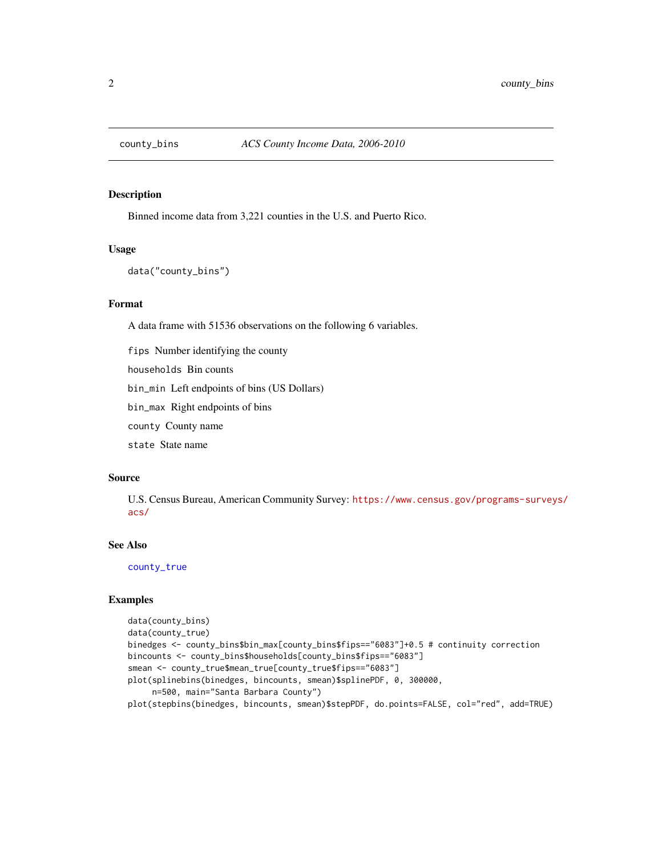<span id="page-1-1"></span><span id="page-1-0"></span>

Binned income data from 3,221 counties in the U.S. and Puerto Rico.

# Usage

```
data("county_bins")
```
### Format

A data frame with 51536 observations on the following 6 variables.

fips Number identifying the county

households Bin counts

bin\_min Left endpoints of bins (US Dollars)

bin\_max Right endpoints of bins

county County name

state State name

#### Source

U.S. Census Bureau, American Community Survey: [https://www.census.gov/programs-survey](https://www.census.gov/programs-surveys/acs/)s/ [acs/](https://www.census.gov/programs-surveys/acs/)

# See Also

[county\\_true](#page-2-1)

```
data(county_bins)
data(county_true)
binedges <- county_bins$bin_max[county_bins$fips=="6083"]+0.5 # continuity correction
bincounts <- county_bins$households[county_bins$fips=="6083"]
smean <- county_true$mean_true[county_true$fips=="6083"]
plot(splinebins(binedges, bincounts, smean)$splinePDF, 0, 300000,
     n=500, main="Santa Barbara County")
plot(stepbins(binedges, bincounts, smean)$stepPDF, do.points=FALSE, col="red", add=TRUE)
```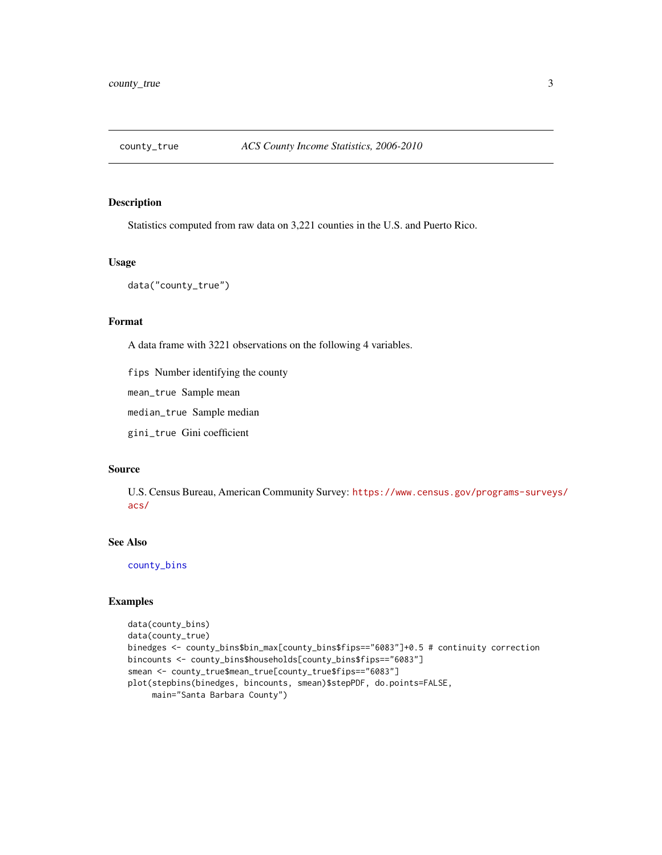<span id="page-2-1"></span><span id="page-2-0"></span>

Statistics computed from raw data on 3,221 counties in the U.S. and Puerto Rico.

# Usage

data("county\_true")

#### Format

A data frame with 3221 observations on the following 4 variables.

fips Number identifying the county

mean\_true Sample mean

median\_true Sample median

gini\_true Gini coefficient

### Source

U.S. Census Bureau, American Community Survey: [https://www.census.gov/programs-survey](https://www.census.gov/programs-surveys/acs/)s/ [acs/](https://www.census.gov/programs-surveys/acs/)

# See Also

[county\\_bins](#page-1-1)

```
data(county_bins)
data(county_true)
binedges <- county_bins$bin_max[county_bins$fips=="6083"]+0.5 # continuity correction
bincounts <- county_bins$households[county_bins$fips=="6083"]
smean <- county_true$mean_true[county_true$fips=="6083"]
plot(stepbins(binedges, bincounts, smean)$stepPDF, do.points=FALSE,
     main="Santa Barbara County")
```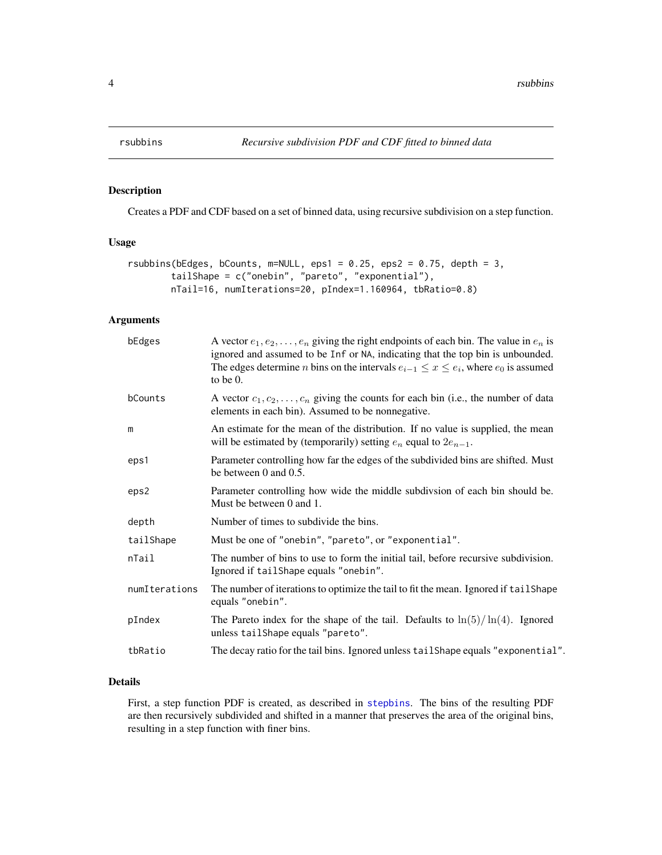<span id="page-3-0"></span>

Creates a PDF and CDF based on a set of binned data, using recursive subdivision on a step function.

# Usage

```
rsubbins(bEdges, bCounts, m=NULL, eps1 = 0.25, eps2 = 0.75, depth = 3,
       tailShape = c("onebin", "pareto", "exponential"),
       nTail=16, numIterations=20, pIndex=1.160964, tbRatio=0.8)
```
# Arguments

| bEdges        | A vector $e_1, e_2, \ldots, e_n$ giving the right endpoints of each bin. The value in $e_n$ is<br>ignored and assumed to be Inf or NA, indicating that the top bin is unbounded.<br>The edges determine <i>n</i> bins on the intervals $e_{i-1} \le x \le e_i$ , where $e_0$ is assumed<br>to be $0$ . |
|---------------|--------------------------------------------------------------------------------------------------------------------------------------------------------------------------------------------------------------------------------------------------------------------------------------------------------|
| bCounts       | A vector $c_1, c_2, \ldots, c_n$ giving the counts for each bin (i.e., the number of data<br>elements in each bin). Assumed to be nonnegative.                                                                                                                                                         |
| m             | An estimate for the mean of the distribution. If no value is supplied, the mean<br>will be estimated by (temporarily) setting $e_n$ equal to $2e_{n-1}$ .                                                                                                                                              |
| eps1          | Parameter controlling how far the edges of the subdivided bins are shifted. Must<br>be between $0$ and $0.5$ .                                                                                                                                                                                         |
| eps2          | Parameter controlling how wide the middle subdivison of each bin should be.<br>Must be between 0 and 1.                                                                                                                                                                                                |
| depth         | Number of times to subdivide the bins.                                                                                                                                                                                                                                                                 |
| tailShape     | Must be one of "onebin", "pareto", or "exponential".                                                                                                                                                                                                                                                   |
| nTail         | The number of bins to use to form the initial tail, before recursive subdivision.<br>Ignored if tailShape equals "onebin".                                                                                                                                                                             |
| numIterations | The number of iterations to optimize the tail to fit the mean. Ignored if tail Shape<br>equals "onebin".                                                                                                                                                                                               |
| pIndex        | The Pareto index for the shape of the tail. Defaults to $\ln(5)/\ln(4)$ . Ignored<br>unless tailShape equals "pareto".                                                                                                                                                                                 |
| tbRatio       | The decay ratio for the tail bins. Ignored unless tail Shape equals "exponential".                                                                                                                                                                                                                     |

#### Details

First, a step function PDF is created, as described in [stepbins](#page-7-1). The bins of the resulting PDF are then recursively subdivided and shifted in a manner that preserves the area of the original bins, resulting in a step function with finer bins.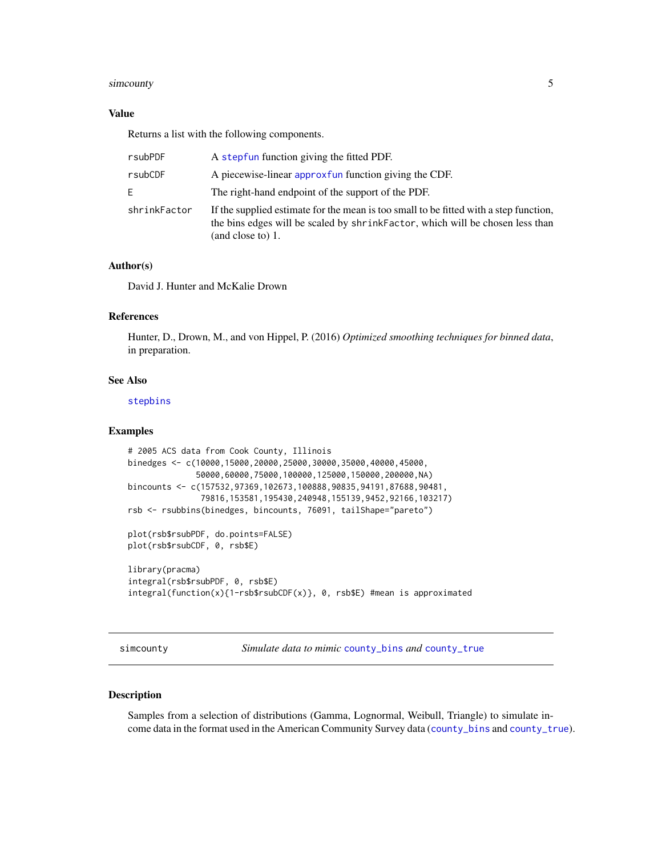#### <span id="page-4-0"></span>simcounty 5

### Value

Returns a list with the following components.

| rsubPDF      | A stepfun function giving the fitted PDF.                                                                                                                                                    |
|--------------|----------------------------------------------------------------------------------------------------------------------------------------------------------------------------------------------|
| rsubCDF      | A piecewise-linear approxfun function giving the CDF.                                                                                                                                        |
| E            | The right-hand endpoint of the support of the PDF.                                                                                                                                           |
| shrinkFactor | If the supplied estimate for the mean is too small to be fitted with a step function,<br>the bins edges will be scaled by shrink Factor, which will be chosen less than<br>(and close to) 1. |

# Author(s)

David J. Hunter and McKalie Drown

#### References

Hunter, D., Drown, M., and von Hippel, P. (2016) *Optimized smoothing techniques for binned data*, in preparation.

# See Also

[stepbins](#page-7-1)

#### Examples

```
# 2005 ACS data from Cook County, Illinois
binedges <- c(10000,15000,20000,25000,30000,35000,40000,45000,
              50000,60000,75000,100000,125000,150000,200000,NA)
bincounts <- c(157532,97369,102673,100888,90835,94191,87688,90481,
               79816,153581,195430,240948,155139,9452,92166,103217)
rsb <- rsubbins(binedges, bincounts, 76091, tailShape="pareto")
plot(rsb$rsubPDF, do.points=FALSE)
plot(rsb$rsubCDF, 0, rsb$E)
library(pracma)
integral(rsb$rsubPDF, 0, rsb$E)
integral(function(x){1-rsb$rsubCDF(x)}, 0, rsb$E) #mean is approximated
```
simcounty *Simulate data to mimic* [county\\_bins](#page-1-1) *and* [county\\_true](#page-2-1)

#### Description

Samples from a selection of distributions (Gamma, Lognormal, Weibull, Triangle) to simulate income data in the format used in the American Community Survey data ([county\\_bins](#page-1-1) and [county\\_true](#page-2-1)).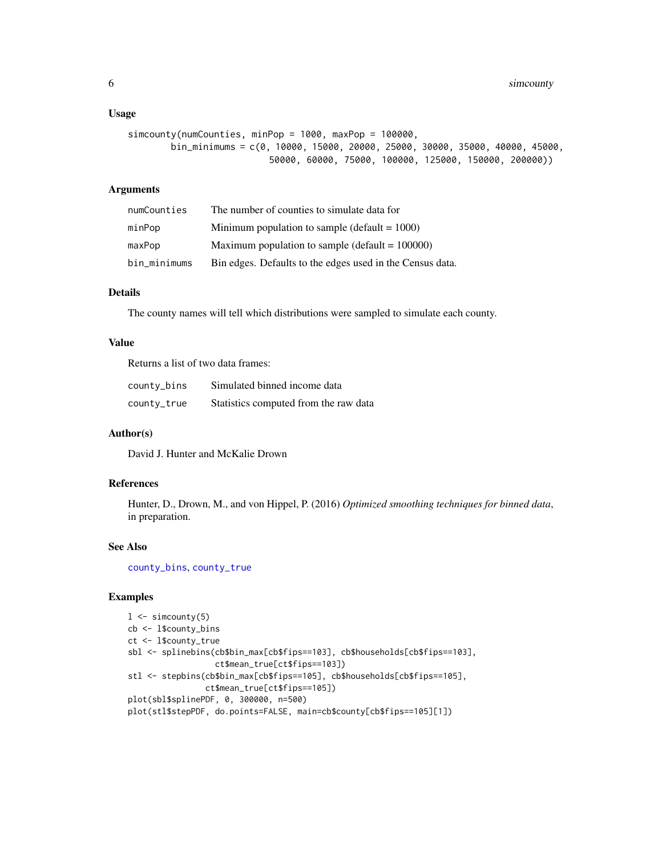#### <span id="page-5-0"></span>Usage

```
simcounty(numCounties, minPop = 1000, maxPop = 100000,
       bin_minimums = c(0, 10000, 15000, 20000, 25000, 30000, 35000, 40000, 45000,
                          50000, 60000, 75000, 100000, 125000, 150000, 200000))
```
# Arguments

| numCounties  | The number of counties to simulate data for               |
|--------------|-----------------------------------------------------------|
| minPop       | Minimum population to sample (default $= 1000$ )          |
| maxPop       | Maximum population to sample (default = $100000$ )        |
| bin_minimums | Bin edges. Defaults to the edges used in the Census data. |

# Details

The county names will tell which distributions were sampled to simulate each county.

# Value

Returns a list of two data frames:

| county_bins | Simulated binned income data          |
|-------------|---------------------------------------|
| county_true | Statistics computed from the raw data |

# Author(s)

David J. Hunter and McKalie Drown

# References

Hunter, D., Drown, M., and von Hippel, P. (2016) *Optimized smoothing techniques for binned data*, in preparation.

# See Also

[county\\_bins](#page-1-1), [county\\_true](#page-2-1)

```
1 \leftarrow simcounty(5)
cb <- l$county_bins
ct <- l$county_true
sbl <- splinebins(cb$bin_max[cb$fips==103], cb$households[cb$fips==103],
                  ct$mean_true[ct$fips==103])
stl <- stepbins(cb$bin_max[cb$fips==105], cb$households[cb$fips==105],
                ct$mean_true[ct$fips==105])
plot(sbl$splinePDF, 0, 300000, n=500)
plot(stl$stepPDF, do.points=FALSE, main=cb$county[cb$fips==105][1])
```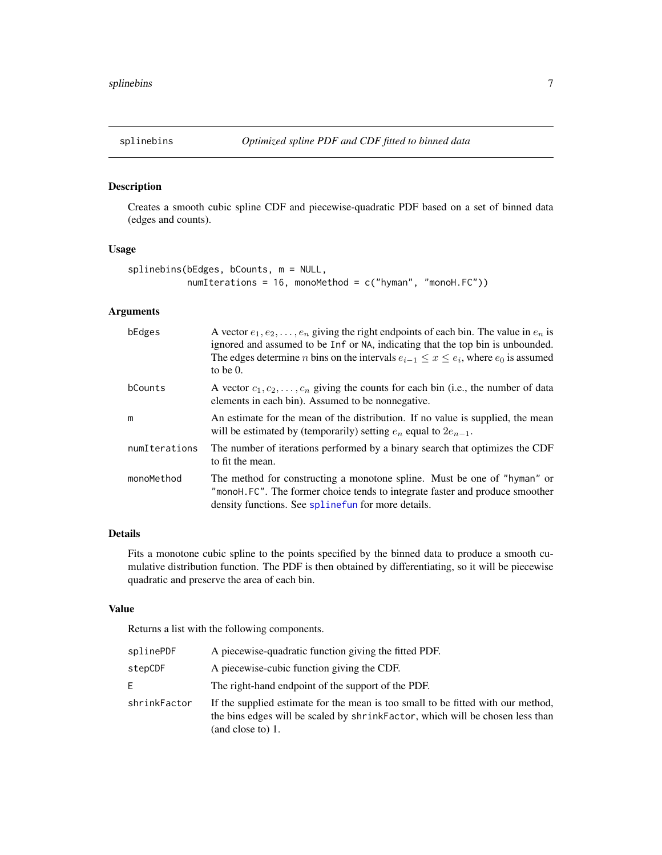<span id="page-6-0"></span>

Creates a smooth cubic spline CDF and piecewise-quadratic PDF based on a set of binned data (edges and counts).

# Usage

```
splinebins(bEdges, bCounts, m = NULL,
          numIterations = 16, monoMethod = c("hyman", "monoH.FC"))
```
# Arguments

| bEdges        | A vector $e_1, e_2, \ldots, e_n$ giving the right endpoints of each bin. The value in $e_n$ is<br>ignored and assumed to be Inf or NA, indicating that the top bin is unbounded.<br>The edges determine <i>n</i> bins on the intervals $e_{i-1} \le x \le e_i$ , where $e_0$ is assumed<br>to be $0$ . |
|---------------|--------------------------------------------------------------------------------------------------------------------------------------------------------------------------------------------------------------------------------------------------------------------------------------------------------|
| bCounts       | A vector $c_1, c_2, \ldots, c_n$ giving the counts for each bin (i.e., the number of data<br>elements in each bin). Assumed to be nonnegative.                                                                                                                                                         |
| m             | An estimate for the mean of the distribution. If no value is supplied, the mean<br>will be estimated by (temporarily) setting $e_n$ equal to $2e_{n-1}$ .                                                                                                                                              |
| numIterations | The number of iterations performed by a binary search that optimizes the CDF<br>to fit the mean.                                                                                                                                                                                                       |
| monoMethod    | The method for constructing a monotone spline. Must be one of "hyman" or<br>"monoH.FC". The former choice tends to integrate faster and produce smoother<br>density functions. See spline fun for more details.                                                                                        |

# Details

Fits a monotone cubic spline to the points specified by the binned data to produce a smooth cumulative distribution function. The PDF is then obtained by differentiating, so it will be piecewise quadratic and preserve the area of each bin.

#### Value

Returns a list with the following components.

| splinePDF    | A piecewise-quadratic function giving the fitted PDF.                                                                                                                                   |
|--------------|-----------------------------------------------------------------------------------------------------------------------------------------------------------------------------------------|
| stepCDF      | A piecewise-cubic function giving the CDF.                                                                                                                                              |
| E.           | The right-hand endpoint of the support of the PDF.                                                                                                                                      |
| shrinkFactor | If the supplied estimate for the mean is too small to be fitted with our method,<br>the bins edges will be scaled by shrink Factor, which will be chosen less than<br>(and close to) 1. |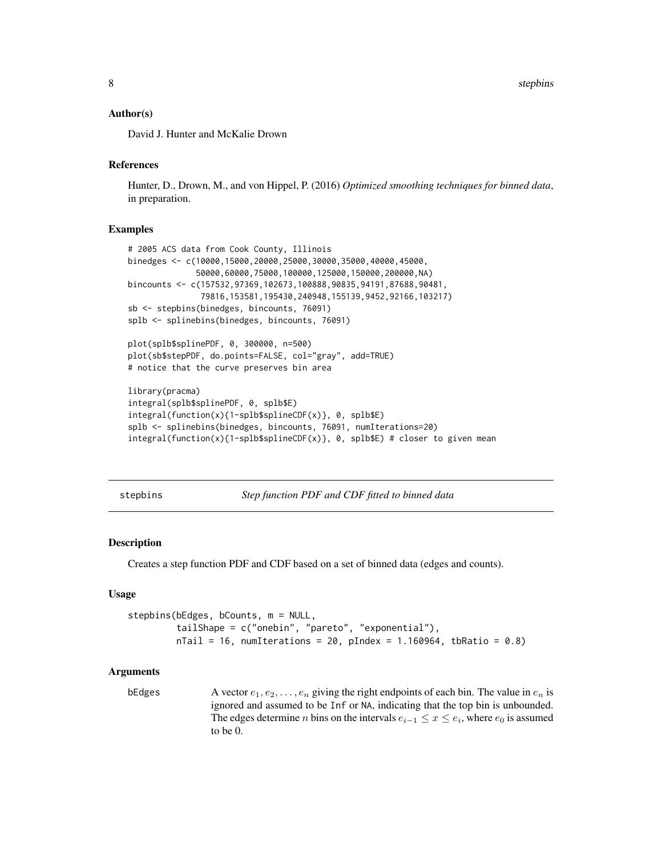#### <span id="page-7-0"></span>Author(s)

David J. Hunter and McKalie Drown

#### References

Hunter, D., Drown, M., and von Hippel, P. (2016) *Optimized smoothing techniques for binned data*, in preparation.

#### Examples

```
# 2005 ACS data from Cook County, Illinois
binedges <- c(10000,15000,20000,25000,30000,35000,40000,45000,
              50000,60000,75000,100000,125000,150000,200000,NA)
bincounts <- c(157532,97369,102673,100888,90835,94191,87688,90481,
               79816,153581,195430,240948,155139,9452,92166,103217)
sb <- stepbins(binedges, bincounts, 76091)
splb <- splinebins(binedges, bincounts, 76091)
plot(splb$splinePDF, 0, 300000, n=500)
plot(sb$stepPDF, do.points=FALSE, col="gray", add=TRUE)
# notice that the curve preserves bin area
library(pracma)
integral(splb$splinePDF, 0, splb$E)
integral(function(x){1-splb$splineCDF(x)}, 0, splb$E)
splb <- splinebins(binedges, bincounts, 76091, numIterations=20)
integral(function(x){1-splb$spliteCDF(x)}, 0, splb$E) # closer to given mean
```
<span id="page-7-1"></span>stepbins *Step function PDF and CDF fitted to binned data*

#### Description

Creates a step function PDF and CDF based on a set of binned data (edges and counts).

#### Usage

```
stepbins(bEdges, bCounts, m = NULL,
         tailShape = c("onebin", "pareto", "exponential"),
         nTail = 16, numIterations = 20, pIndex = 1.160964, tbRatio = 0.8)
```
#### Arguments

bEdges A vector  $e_1, e_2, \ldots, e_n$  giving the right endpoints of each bin. The value in  $e_n$  is ignored and assumed to be Inf or NA, indicating that the top bin is unbounded. The edges determine *n* bins on the intervals  $e_{i-1} \leq x \leq e_i$ , where  $e_0$  is assumed to be 0.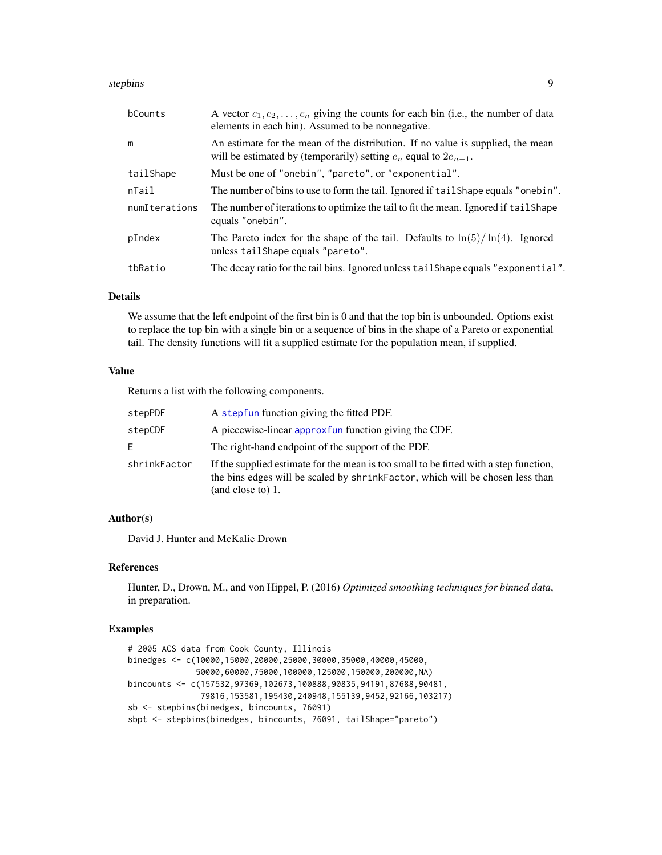#### <span id="page-8-0"></span>stepbins 9

| bCounts       | A vector $c_1, c_2, \ldots, c_n$ giving the counts for each bin (i.e., the number of data<br>elements in each bin). Assumed to be nonnegative.            |
|---------------|-----------------------------------------------------------------------------------------------------------------------------------------------------------|
| m             | An estimate for the mean of the distribution. If no value is supplied, the mean<br>will be estimated by (temporarily) setting $e_n$ equal to $2e_{n-1}$ . |
| tailShape     | Must be one of "onebin", "pareto", or "exponential".                                                                                                      |
| nTail         | The number of bins to use to form the tail. Ignored if tail Shape equals "onebin".                                                                        |
| numIterations | The number of iterations to optimize the tail to fit the mean. Ignored if tailshape<br>equals "onebin".                                                   |
| pIndex        | The Pareto index for the shape of the tail. Defaults to $\ln(5)/\ln(4)$ . Ignored<br>unless tail Shape equals "pareto".                                   |
| tbRatio       | The decay ratio for the tail bins. Ignored unless tail Shape equals "exponential".                                                                        |

# Details

We assume that the left endpoint of the first bin is 0 and that the top bin is unbounded. Options exist to replace the top bin with a single bin or a sequence of bins in the shape of a Pareto or exponential tail. The density functions will fit a supplied estimate for the population mean, if supplied.

# Value

Returns a list with the following components.

| stepPDF      | A stepfun function giving the fitted PDF.                                                                                                                                                   |
|--------------|---------------------------------------------------------------------------------------------------------------------------------------------------------------------------------------------|
| stepCDF      | A piecewise-linear approxfun function giving the CDF.                                                                                                                                       |
| E.           | The right-hand endpoint of the support of the PDF.                                                                                                                                          |
| shrinkFactor | If the supplied estimate for the mean is too small to be fitted with a step function,<br>the bins edges will be scaled by shrinkFactor, which will be chosen less than<br>(and close to) 1. |

#### Author(s)

David J. Hunter and McKalie Drown

#### References

Hunter, D., Drown, M., and von Hippel, P. (2016) *Optimized smoothing techniques for binned data*, in preparation.

```
# 2005 ACS data from Cook County, Illinois
binedges <- c(10000,15000,20000,25000,30000,35000,40000,45000,
              50000,60000,75000,100000,125000,150000,200000,NA)
bincounts <- c(157532,97369,102673,100888,90835,94191,87688,90481,
               79816,153581,195430,240948,155139,9452,92166,103217)
sb <- stepbins(binedges, bincounts, 76091)
sbpt <- stepbins(binedges, bincounts, 76091, tailShape="pareto")
```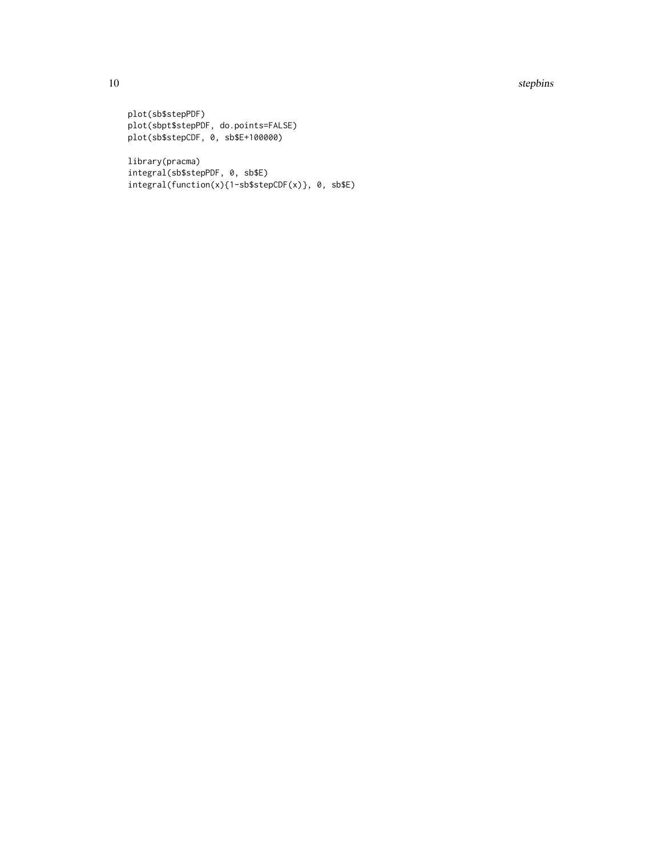#### 10 stepbins

```
plot(sb$stepPDF)
plot(sbpt$stepPDF, do.points=FALSE)
plot(sb$stepCDF, 0, sb$E+100000)
```

```
library(pracma)
integral(sb$stepPDF, 0, sb$E)
integral(function(x){1-sb$stepCDF(x)}, 0, sb$E)
```